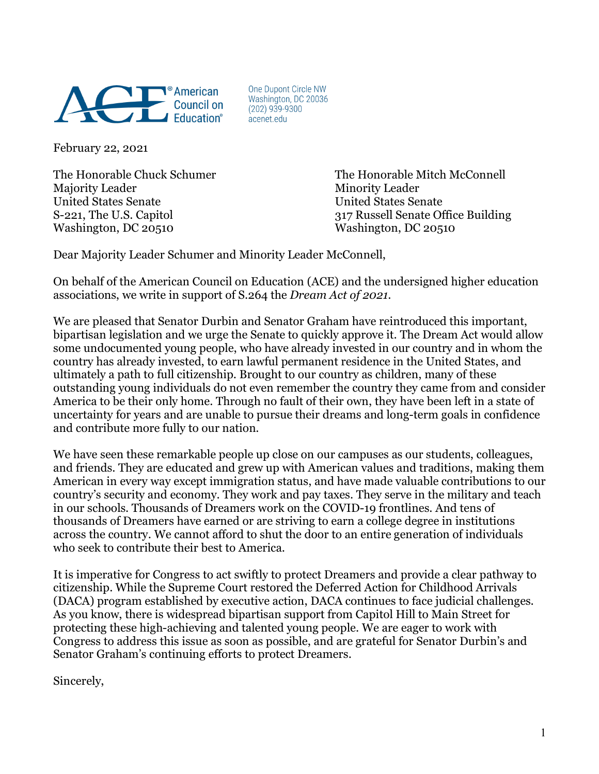

One Dupont Circle NW Washington, DC 20036<br>(202) 939-9300 acenet.edu

February 22, 2021

Majority Leader Minority Leader United States Senate United States Senate Washington, DC 20510 Washington, DC 20510

The Honorable Chuck Schumer The Honorable Mitch McConnell S-221, The U.S. Capitol 317 Russell Senate Office Building

Dear Majority Leader Schumer and Minority Leader McConnell,

On behalf of the American Council on Education (ACE) and the undersigned higher education associations, we write in support of S.264 the *Dream Act of 2021*.

We are pleased that Senator Durbin and Senator Graham have reintroduced this important, bipartisan legislation and we urge the Senate to quickly approve it. The Dream Act would allow some undocumented young people, who have already invested in our country and in whom the country has already invested, to earn lawful permanent residence in the United States, and ultimately a path to full citizenship. Brought to our country as children, many of these outstanding young individuals do not even remember the country they came from and consider America to be their only home. Through no fault of their own, they have been left in a state of uncertainty for years and are unable to pursue their dreams and long-term goals in confidence and contribute more fully to our nation.

We have seen these remarkable people up close on our campuses as our students, colleagues, and friends. They are educated and grew up with American values and traditions, making them American in every way except immigration status, and have made valuable contributions to our country's security and economy. They work and pay taxes. They serve in the military and teach in our schools. Thousands of Dreamers work on the COVID-19 frontlines. And tens of thousands of Dreamers have earned or are striving to earn a college degree in institutions across the country. We cannot afford to shut the door to an entire generation of individuals who seek to contribute their best to America.

It is imperative for Congress to act swiftly to protect Dreamers and provide a clear pathway to citizenship. While the Supreme Court restored the Deferred Action for Childhood Arrivals (DACA) program established by executive action, DACA continues to face judicial challenges. As you know, there is widespread bipartisan support from Capitol Hill to Main Street for protecting these high-achieving and talented young people. We are eager to work with Congress to address this issue as soon as possible, and are grateful for Senator Durbin's and Senator Graham's continuing efforts to protect Dreamers.

Sincerely,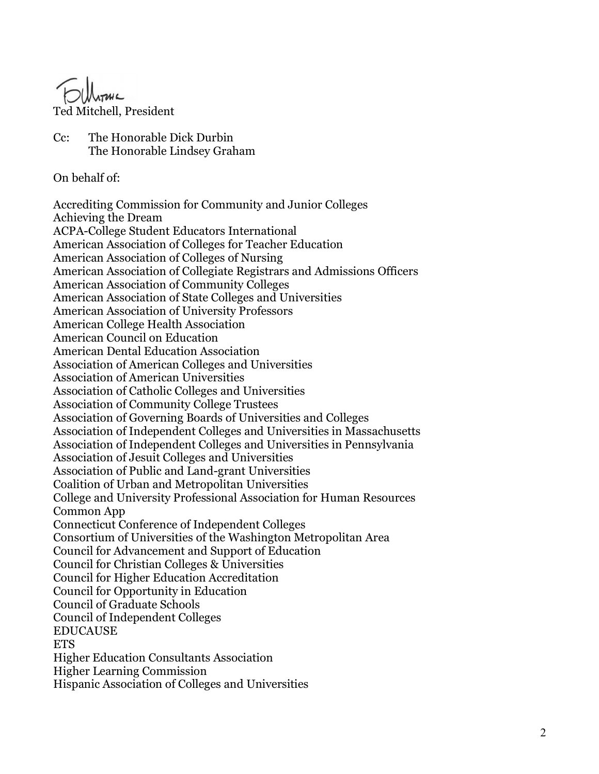Ted Mitchell, President

Cc: The Honorable Dick Durbin The Honorable Lindsey Graham

On behalf of:

Accrediting Commission for Community and Junior Colleges Achieving the Dream ACPA-College Student Educators International American Association of Colleges for Teacher Education American Association of Colleges of Nursing American Association of Collegiate Registrars and Admissions Officers American Association of Community Colleges American Association of State Colleges and Universities American Association of University Professors American College Health Association American Council on Education American Dental Education Association Association of American Colleges and Universities Association of American Universities Association of Catholic Colleges and Universities Association of Community College Trustees Association of Governing Boards of Universities and Colleges Association of Independent Colleges and Universities in Massachusetts Association of Independent Colleges and Universities in Pennsylvania Association of Jesuit Colleges and Universities Association of Public and Land-grant Universities Coalition of Urban and Metropolitan Universities College and University Professional Association for Human Resources Common App Connecticut Conference of Independent Colleges Consortium of Universities of the Washington Metropolitan Area Council for Advancement and Support of Education Council for Christian Colleges & Universities Council for Higher Education Accreditation Council for Opportunity in Education Council of Graduate Schools Council of Independent Colleges EDUCAUSE **ETS** Higher Education Consultants Association Higher Learning Commission Hispanic Association of Colleges and Universities